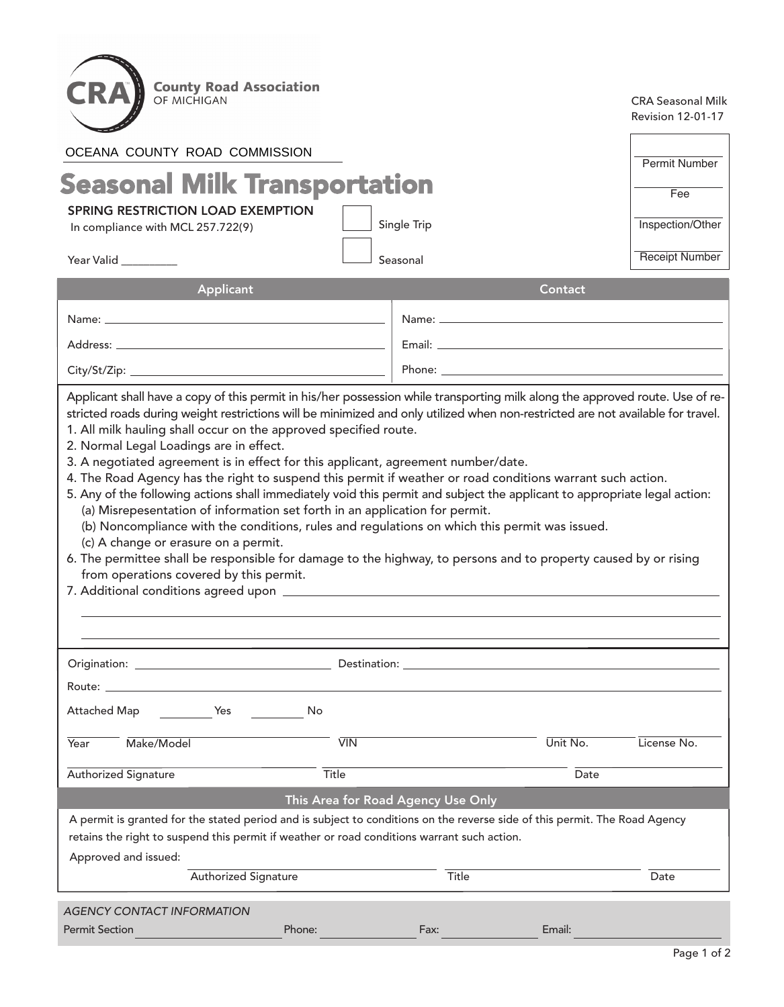| <b>County Road Association</b><br>OF MICHIGAN<br>OCEANA COUNTY ROAD COMMISSION<br><b>Seasonal Milk Transportation</b><br><b>SPRING RESTRICTION LOAD EXEMPTION</b><br>In compliance with MCL 257.722(9)<br>Year Valid <u>Saman Alexander</u>                                                                                                                                                                                                                                                                                                                                                                                                                                                                                                                                                                                                                                                                                                                          |                   | Single Trip<br>Seasonal |                                                                                                                | <b>CRA Seasonal Milk</b><br><b>Revision 12-01-17</b><br>Permit Number<br>Fee<br>Inspection/Other<br><b>Receipt Number</b> |  |  |
|----------------------------------------------------------------------------------------------------------------------------------------------------------------------------------------------------------------------------------------------------------------------------------------------------------------------------------------------------------------------------------------------------------------------------------------------------------------------------------------------------------------------------------------------------------------------------------------------------------------------------------------------------------------------------------------------------------------------------------------------------------------------------------------------------------------------------------------------------------------------------------------------------------------------------------------------------------------------|-------------------|-------------------------|----------------------------------------------------------------------------------------------------------------|---------------------------------------------------------------------------------------------------------------------------|--|--|
|                                                                                                                                                                                                                                                                                                                                                                                                                                                                                                                                                                                                                                                                                                                                                                                                                                                                                                                                                                      |                   |                         |                                                                                                                |                                                                                                                           |  |  |
| Applicant                                                                                                                                                                                                                                                                                                                                                                                                                                                                                                                                                                                                                                                                                                                                                                                                                                                                                                                                                            |                   |                         | Contact                                                                                                        |                                                                                                                           |  |  |
|                                                                                                                                                                                                                                                                                                                                                                                                                                                                                                                                                                                                                                                                                                                                                                                                                                                                                                                                                                      |                   |                         |                                                                                                                |                                                                                                                           |  |  |
| Address: the contract of the contract of the contract of the contract of the contract of the contract of the contract of the contract of the contract of the contract of the contract of the contract of the contract of the c                                                                                                                                                                                                                                                                                                                                                                                                                                                                                                                                                                                                                                                                                                                                       |                   |                         |                                                                                                                |                                                                                                                           |  |  |
|                                                                                                                                                                                                                                                                                                                                                                                                                                                                                                                                                                                                                                                                                                                                                                                                                                                                                                                                                                      |                   |                         |                                                                                                                |                                                                                                                           |  |  |
| stricted roads during weight restrictions will be minimized and only utilized when non-restricted are not available for travel.<br>1. All milk hauling shall occur on the approved specified route.<br>2. Normal Legal Loadings are in effect.<br>3. A negotiated agreement is in effect for this applicant, agreement number/date.<br>4. The Road Agency has the right to suspend this permit if weather or road conditions warrant such action.<br>5. Any of the following actions shall immediately void this permit and subject the applicant to appropriate legal action:<br>(a) Misrepesentation of information set forth in an application for permit.<br>(b) Noncompliance with the conditions, rules and regulations on which this permit was issued.<br>(c) A change or erasure on a permit.<br>6. The permittee shall be responsible for damage to the highway, to persons and to property caused by or rising<br>from operations covered by this permit. |                   |                         |                                                                                                                |                                                                                                                           |  |  |
|                                                                                                                                                                                                                                                                                                                                                                                                                                                                                                                                                                                                                                                                                                                                                                                                                                                                                                                                                                      |                   |                         | Destination: University of the Contract of the Contract of the Contract of the Contract of the Contract of the |                                                                                                                           |  |  |
|                                                                                                                                                                                                                                                                                                                                                                                                                                                                                                                                                                                                                                                                                                                                                                                                                                                                                                                                                                      |                   |                         |                                                                                                                |                                                                                                                           |  |  |
| Attached Map<br>Yes<br>No                                                                                                                                                                                                                                                                                                                                                                                                                                                                                                                                                                                                                                                                                                                                                                                                                                                                                                                                            |                   |                         |                                                                                                                |                                                                                                                           |  |  |
| Make/Model<br>Year                                                                                                                                                                                                                                                                                                                                                                                                                                                                                                                                                                                                                                                                                                                                                                                                                                                                                                                                                   | $\overline{V}$ IN |                         | Unit No.                                                                                                       | License No.                                                                                                               |  |  |
| <b>Authorized Signature</b>                                                                                                                                                                                                                                                                                                                                                                                                                                                                                                                                                                                                                                                                                                                                                                                                                                                                                                                                          | Title             |                         | Date                                                                                                           |                                                                                                                           |  |  |
| This Area for Road Agency Use Only                                                                                                                                                                                                                                                                                                                                                                                                                                                                                                                                                                                                                                                                                                                                                                                                                                                                                                                                   |                   |                         |                                                                                                                |                                                                                                                           |  |  |
| A permit is granted for the stated period and is subject to conditions on the reverse side of this permit. The Road Agency<br>retains the right to suspend this permit if weather or road conditions warrant such action.                                                                                                                                                                                                                                                                                                                                                                                                                                                                                                                                                                                                                                                                                                                                            |                   |                         |                                                                                                                |                                                                                                                           |  |  |
| Approved and issued:                                                                                                                                                                                                                                                                                                                                                                                                                                                                                                                                                                                                                                                                                                                                                                                                                                                                                                                                                 |                   |                         |                                                                                                                |                                                                                                                           |  |  |
| <b>Authorized Signature</b>                                                                                                                                                                                                                                                                                                                                                                                                                                                                                                                                                                                                                                                                                                                                                                                                                                                                                                                                          |                   | Title                   |                                                                                                                | Date                                                                                                                      |  |  |
| <b>AGENCY CONTACT INFORMATION</b>                                                                                                                                                                                                                                                                                                                                                                                                                                                                                                                                                                                                                                                                                                                                                                                                                                                                                                                                    |                   |                         |                                                                                                                |                                                                                                                           |  |  |
| <b>Permit Section</b><br>Phone:                                                                                                                                                                                                                                                                                                                                                                                                                                                                                                                                                                                                                                                                                                                                                                                                                                                                                                                                      |                   | Fax:                    | Email:                                                                                                         |                                                                                                                           |  |  |